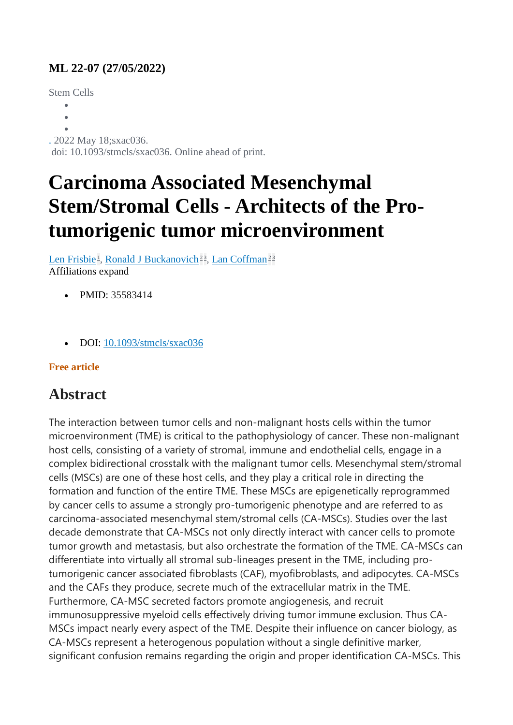## **ML 22-07 (27/05/2022)**

Stem Cells

- $\bullet$
- $\ddot{\phantom{a}}$
- $\bullet$

. 2022 May 18;sxac036.

doi: 10.1093/stmcls/sxac036. Online ahead of print.

## **Carcinoma Associated Mesenchymal Stem/Stromal Cells - Architects of the Protumorigenic tumor microenvironment**

[Len Frisbie](https://pubmed.ncbi.nlm.nih.gov/?term=Frisbie+L&cauthor_id=35583414)<sup>1</sup>[,](https://pubmed.ncbi.nlm.nih.gov/35583414/#affiliation-3) [Ronald J Buckanovich](https://pubmed.ncbi.nlm.nih.gov/?term=Buckanovich+RJ&cauthor_id=35583414)<sup>[2](https://pubmed.ncbi.nlm.nih.gov/35583414/#affiliation-2)3</sup>, [Lan Coffman](https://pubmed.ncbi.nlm.nih.gov/?term=Coffman+L&cauthor_id=35583414)<sup>2[3](https://pubmed.ncbi.nlm.nih.gov/35583414/#affiliation-3)</sup> Affiliations expand

- PMID: 35583414
- DOI: [10.1093/stmcls/sxac036](https://doi.org/10.1093/stmcls/sxac036)

## **Free article**

## **Abstract**

The interaction between tumor cells and non-malignant hosts cells within the tumor microenvironment (TME) is critical to the pathophysiology of cancer. These non-malignant host cells, consisting of a variety of stromal, immune and endothelial cells, engage in a complex bidirectional crosstalk with the malignant tumor cells. Mesenchymal stem/stromal cells (MSCs) are one of these host cells, and they play a critical role in directing the formation and function of the entire TME. These MSCs are epigenetically reprogrammed by cancer cells to assume a strongly pro-tumorigenic phenotype and are referred to as carcinoma-associated mesenchymal stem/stromal cells (CA-MSCs). Studies over the last decade demonstrate that CA-MSCs not only directly interact with cancer cells to promote tumor growth and metastasis, but also orchestrate the formation of the TME. CA-MSCs can differentiate into virtually all stromal sub-lineages present in the TME, including protumorigenic cancer associated fibroblasts (CAF), myofibroblasts, and adipocytes. CA-MSCs and the CAFs they produce, secrete much of the extracellular matrix in the TME. Furthermore, CA-MSC secreted factors promote angiogenesis, and recruit immunosuppressive myeloid cells effectively driving tumor immune exclusion. Thus CA-MSCs impact nearly every aspect of the TME. Despite their influence on cancer biology, as CA-MSCs represent a heterogenous population without a single definitive marker, significant confusion remains regarding the origin and proper identification CA-MSCs. This